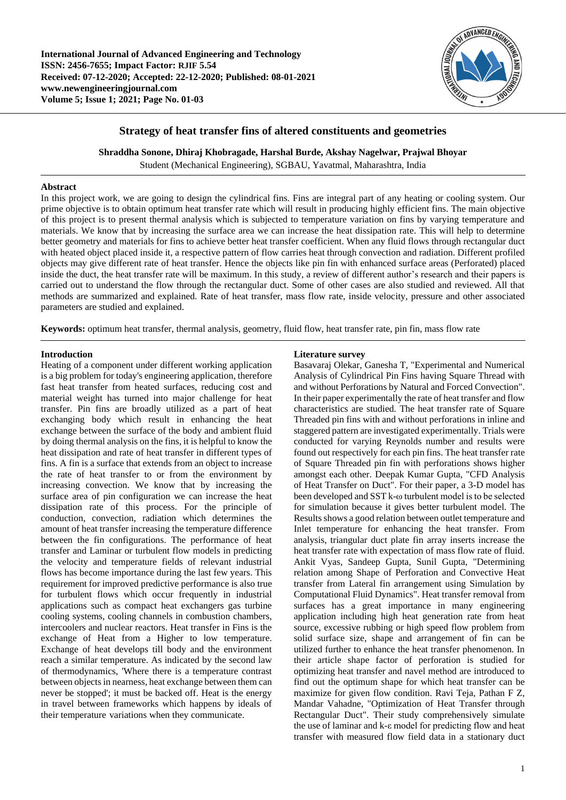

## **Strategy of heat transfer fins of altered constituents and geometries**

**Shraddha Sonone, Dhiraj Khobragade, Harshal Burde, Akshay Nagelwar, Prajwal Bhoyar**

Student (Mechanical Engineering), SGBAU, Yavatmal, Maharashtra, India

#### **Abstract**

In this project work, we are going to design the cylindrical fins. Fins are integral part of any heating or cooling system. Our prime objective is to obtain optimum heat transfer rate which will result in producing highly efficient fins. The main objective of this project is to present thermal analysis which is subjected to temperature variation on fins by varying temperature and materials. We know that by increasing the surface area we can increase the heat dissipation rate. This will help to determine better geometry and materials for fins to achieve better heat transfer coefficient. When any fluid flows through rectangular duct with heated object placed inside it, a respective pattern of flow carries heat through convection and radiation. Different profiled objects may give different rate of heat transfer. Hence the objects like pin fin with enhanced surface areas (Perforated) placed inside the duct, the heat transfer rate will be maximum. In this study, a review of different author's research and their papers is carried out to understand the flow through the rectangular duct. Some of other cases are also studied and reviewed. All that methods are summarized and explained. Rate of heat transfer, mass flow rate, inside velocity, pressure and other associated parameters are studied and explained.

**Keywords:** optimum heat transfer, thermal analysis, geometry, fluid flow, heat transfer rate, pin fin, mass flow rate

### **Introduction**

Heating of a component under different working application is a big problem for today's engineering application, therefore fast heat transfer from heated surfaces, reducing cost and material weight has turned into major challenge for heat transfer. Pin fins are broadly utilized as a part of heat exchanging body which result in enhancing the heat exchange between the surface of the body and ambient fluid by doing thermal analysis on the fins, it is helpful to know the heat dissipation and rate of heat transfer in different types of fins. A fin is a surface that extends from an object to increase the rate of heat transfer to or from the environment by increasing convection. We know that by increasing the surface area of pin configuration we can increase the heat dissipation rate of this process. For the principle of conduction, convection, radiation which determines the amount of heat transfer increasing the temperature difference between the fin configurations. The performance of heat transfer and Laminar or turbulent flow models in predicting the velocity and temperature fields of relevant industrial flows has become importance during the last few years. This requirement for improved predictive performance is also true for turbulent flows which occur frequently in industrial applications such as compact heat exchangers gas turbine cooling systems, cooling channels in combustion chambers, intercoolers and nuclear reactors. Heat transfer in Fins is the exchange of Heat from a Higher to low temperature. Exchange of heat develops till body and the environment reach a similar temperature. As indicated by the second law of thermodynamics, 'Where there is a temperature contrast between objects in nearness, heat exchange between them can never be stopped'; it must be backed off. Heat is the energy in travel between frameworks which happens by ideals of their temperature variations when they communicate.

### **Literature survey**

Basavaraj Olekar, Ganesha T, "Experimental and Numerical Analysis of Cylindrical Pin Fins having Square Thread with and without Perforations by Natural and Forced Convection". In their paper experimentally the rate of heat transfer and flow characteristics are studied. The heat transfer rate of Square Threaded pin fins with and without perforations in inline and staggered pattern are investigated experimentally. Trials were conducted for varying Reynolds number and results were found out respectively for each pin fins. The heat transfer rate of Square Threaded pin fin with perforations shows higher amongst each other. Deepak Kumar Gupta, "CFD Analysis of Heat Transfer on Duct". For their paper, a 3-D model has been developed and SST k-ω turbulent model is to be selected for simulation because it gives better turbulent model. The Results shows a good relation between outlet temperature and Inlet temperature for enhancing the heat transfer. From analysis, triangular duct plate fin array inserts increase the heat transfer rate with expectation of mass flow rate of fluid. Ankit Vyas, Sandeep Gupta, Sunil Gupta, "Determining relation among Shape of Perforation and Convective Heat transfer from Lateral fin arrangement using Simulation by Computational Fluid Dynamics". Heat transfer removal from surfaces has a great importance in many engineering application including high heat generation rate from heat source, excessive rubbing or high speed flow problem from solid surface size, shape and arrangement of fin can be utilized further to enhance the heat transfer phenomenon. In their article shape factor of perforation is studied for optimizing heat transfer and navel method are introduced to find out the optimum shape for which heat transfer can be maximize for given flow condition. Ravi Teja, Pathan F Z, Mandar Vahadne, "Optimization of Heat Transfer through Rectangular Duct". Their study comprehensively simulate the use of laminar and k-ε model for predicting flow and heat transfer with measured flow field data in a stationary duct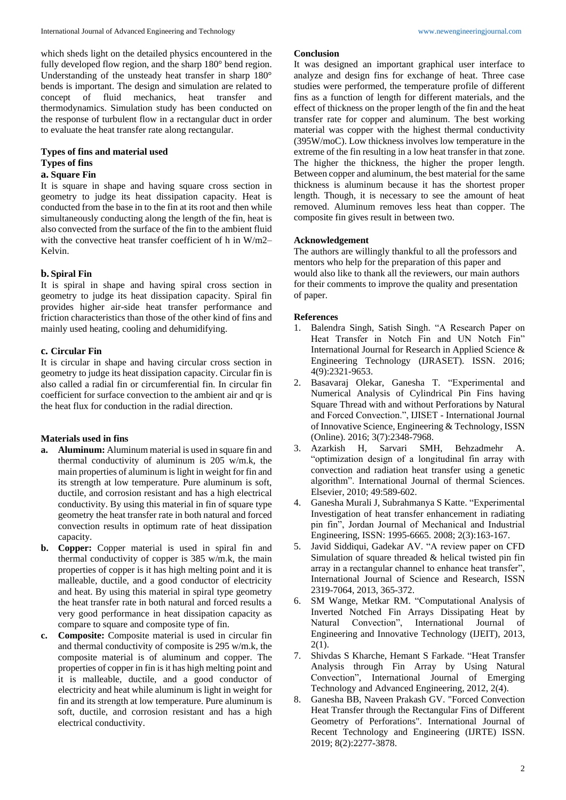which sheds light on the detailed physics encountered in the fully developed flow region, and the sharp 180° bend region. Understanding of the unsteady heat transfer in sharp 180° bends is important. The design and simulation are related to concept of fluid mechanics, heat transfer and thermodynamics. Simulation study has been conducted on the response of turbulent flow in a rectangular duct in order to evaluate the heat transfer rate along rectangular.

# **Types of fins and material used Types of fins**

# **a. Square Fin**

It is square in shape and having square cross section in geometry to judge its heat dissipation capacity. Heat is conducted from the base in to the fin at its root and then while simultaneously conducting along the length of the fin, heat is also convected from the surface of the fin to the ambient fluid with the convective heat transfer coefficient of h in W/m2– Kelvin.

## **b. Spiral Fin**

It is spiral in shape and having spiral cross section in geometry to judge its heat dissipation capacity. Spiral fin provides higher air-side heat transfer performance and friction characteristics than those of the other kind of fins and mainly used heating, cooling and dehumidifying.

## **c. Circular Fin**

It is circular in shape and having circular cross section in geometry to judge its heat dissipation capacity. Circular fin is also called a radial fin or circumferential fin. In circular fin coefficient for surface convection to the ambient air and qr is the heat flux for conduction in the radial direction.

# **Materials used in fins**

- **a. Aluminum:** Aluminum material is used in square fin and thermal conductivity of aluminum is 205 w/m.k, the main properties of aluminum is light in weight for fin and its strength at low temperature. Pure aluminum is soft, ductile, and corrosion resistant and has a high electrical conductivity. By using this material in fin of square type geometry the heat transfer rate in both natural and forced convection results in optimum rate of heat dissipation capacity.
- **b. Copper:** Copper material is used in spiral fin and thermal conductivity of copper is 385 w/m.k, the main properties of copper is it has high melting point and it is malleable, ductile, and a good conductor of electricity and heat. By using this material in spiral type geometry the heat transfer rate in both natural and forced results a very good performance in heat dissipation capacity as compare to square and composite type of fin.
- **c. Composite:** Composite material is used in circular fin and thermal conductivity of composite is 295 w/m.k, the composite material is of aluminum and copper. The properties of copper in fin is it has high melting point and it is malleable, ductile, and a good conductor of electricity and heat while aluminum is light in weight for fin and its strength at low temperature. Pure aluminum is soft, ductile, and corrosion resistant and has a high electrical conductivity.

### **Conclusion**

It was designed an important graphical user interface to analyze and design fins for exchange of heat. Three case studies were performed, the temperature profile of different fins as a function of length for different materials, and the effect of thickness on the proper length of the fin and the heat transfer rate for copper and aluminum. The best working material was copper with the highest thermal conductivity (395W/moC). Low thickness involves low temperature in the extreme of the fin resulting in a low heat transfer in that zone. The higher the thickness, the higher the proper length. Between copper and aluminum, the best material for the same thickness is aluminum because it has the shortest proper length. Though, it is necessary to see the amount of heat removed. Aluminum removes less heat than copper. The composite fin gives result in between two.

## **Acknowledgement**

The authors are willingly thankful to all the professors and mentors who help for the preparation of this paper and would also like to thank all the reviewers, our main authors for their comments to improve the quality and presentation of paper.

## **References**

- 1. Balendra Singh, Satish Singh. "A Research Paper on Heat Transfer in Notch Fin and UN Notch Fin" International Journal for Research in Applied Science & Engineering Technology (IJRASET). ISSN. 2016; 4(9):2321-9653.
- 2. Basavaraj Olekar, Ganesha T. "Experimental and Numerical Analysis of Cylindrical Pin Fins having Square Thread with and without Perforations by Natural and Forced Convection.", IJISET - International Journal of Innovative Science, Engineering & Technology, ISSN (Online). 2016; 3(7):2348-7968.
- 3. Azarkish H, Sarvari SMH, Behzadmehr A. "optimization design of a longitudinal fin array with convection and radiation heat transfer using a genetic algorithm". International Journal of thermal Sciences. Elsevier, 2010; 49:589-602.
- 4. Ganesha Murali J, Subrahmanya S Katte. "Experimental Investigation of heat transfer enhancement in radiating pin fin", Jordan Journal of Mechanical and Industrial Engineering, ISSN: 1995-6665. 2008; 2(3):163-167.
- 5. Javid Siddiqui, Gadekar AV. "A review paper on CFD Simulation of square threaded & helical twisted pin fin array in a rectangular channel to enhance heat transfer", International Journal of Science and Research, ISSN 2319-7064, 2013, 365-372.
- 6. SM Wange, Metkar RM. "Computational Analysis of Inverted Notched Fin Arrays Dissipating Heat by Natural Convection", International Journal of Engineering and Innovative Technology (IJEIT), 2013, 2(1).
- 7. Shivdas S Kharche, Hemant S Farkade. "Heat Transfer Analysis through Fin Array by Using Natural Convection", International Journal of Emerging Technology and Advanced Engineering, 2012, 2(4).
- 8. Ganesha BB, Naveen Prakash GV. "Forced Convection Heat Transfer through the Rectangular Fins of Different Geometry of Perforations". International Journal of Recent Technology and Engineering (IJRTE) ISSN. 2019; 8(2):2277-3878.